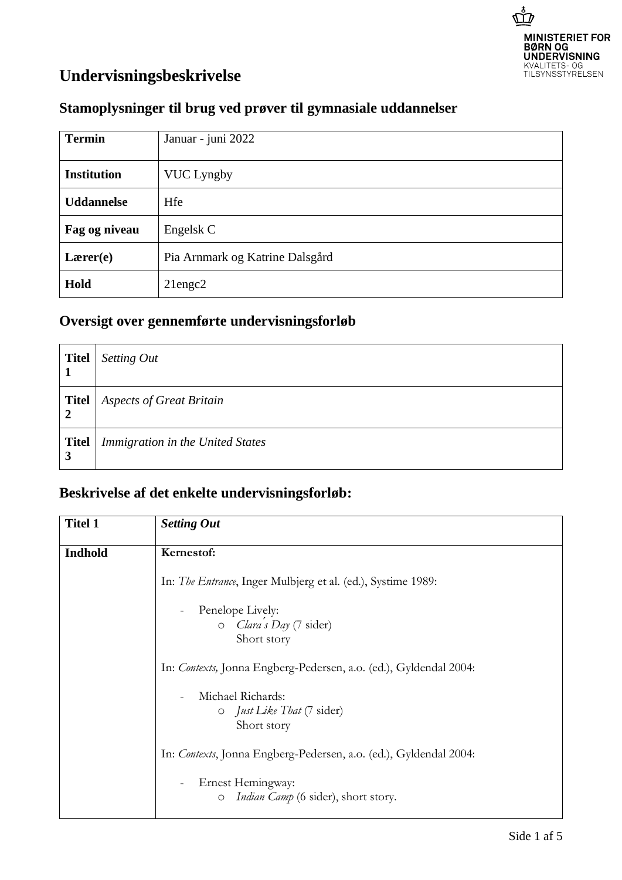

## **Undervisningsbeskrivelse**

## **Stamoplysninger til brug ved prøver til gymnasiale uddannelser**

| <b>Termin</b>      | Januar - juni 2022              |
|--------------------|---------------------------------|
| <b>Institution</b> | <b>VUC Lyngby</b>               |
| <b>Uddannelse</b>  | Hfe                             |
| Fag og niveau      | Engelsk C                       |
| Lærer(e)           | Pia Arnmark og Katrine Dalsgård |
| Hold               | $21$ engc $2$                   |

## **Oversigt over gennemførte undervisningsforløb**

| <b>Titel</b><br>1              | Setting Out                      |
|--------------------------------|----------------------------------|
| <b>Titel</b><br>$\overline{2}$ | <b>Aspects of Great Britain</b>  |
| <b>Titel</b><br>3              | Immigration in the United States |

## **Beskrivelse af det enkelte undervisningsforløb:**

| <b>Titel 1</b> | <b>Setting Out</b>                                                |
|----------------|-------------------------------------------------------------------|
| <b>Indhold</b> | Kernestof:                                                        |
|                | In: The Entrance, Inger Mulbjerg et al. (ed.), Systime 1989:      |
|                | Penelope Lively:                                                  |
|                | $O$ <i>Clara's Day</i> (7 sider)                                  |
|                | Short story                                                       |
|                | In: Contexts, Jonna Engberg-Pedersen, a.o. (ed.), Gyldendal 2004: |
|                | Michael Richards:                                                 |
|                | o <i>Just Like That</i> (7 sider)                                 |
|                | Short story                                                       |
|                | In: Contexts, Jonna Engberg-Pedersen, a.o. (ed.), Gyldendal 2004: |
|                | Ernest Hemingway:                                                 |
|                | <i>Indian Camp</i> (6 sider), short story.<br>$\circ$             |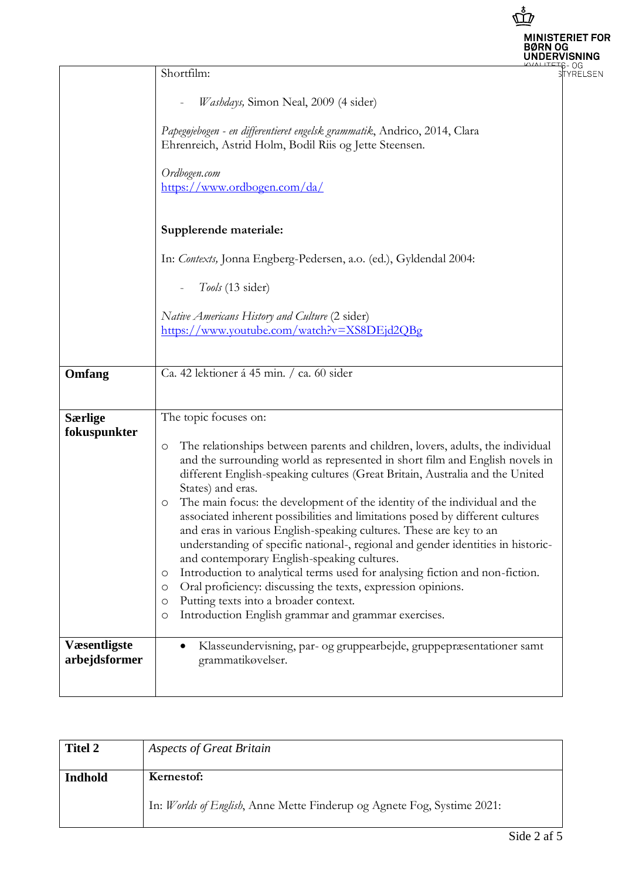|                                       |                                                                                                                                                                                                                                                                                                                                                                                                                                                                                                                                                                                                                                                                                                                                                                                                                                                                                                                                                         | <b>MINISTERIET FOR</b><br><b>UNDERVISNING</b> |
|---------------------------------------|---------------------------------------------------------------------------------------------------------------------------------------------------------------------------------------------------------------------------------------------------------------------------------------------------------------------------------------------------------------------------------------------------------------------------------------------------------------------------------------------------------------------------------------------------------------------------------------------------------------------------------------------------------------------------------------------------------------------------------------------------------------------------------------------------------------------------------------------------------------------------------------------------------------------------------------------------------|-----------------------------------------------|
|                                       | Shortfilm:<br>Washdays, Simon Neal, 2009 (4 sider)<br>Papegøjebogen - en differentieret engelsk grammatik, Andrico, 2014, Clara<br>Ehrenreich, Astrid Holm, Bodil Riis og Jette Steensen.<br>Ordbogen.com<br>https://www.ordbogen.com/da/<br>Supplerende materiale:                                                                                                                                                                                                                                                                                                                                                                                                                                                                                                                                                                                                                                                                                     | <b>YRELSEN</b>                                |
| Omfang                                | In: Contexts, Jonna Engberg-Pedersen, a.o. (ed.), Gyldendal 2004:<br>Tools (13 sider)<br>Native Americans History and Culture (2 sider)<br>https://www.youtube.com/watch?v=XS8DEjd2QBg<br>Ca. 42 lektioner á 45 min. / ca. 60 sider                                                                                                                                                                                                                                                                                                                                                                                                                                                                                                                                                                                                                                                                                                                     |                                               |
| <b>Særlige</b><br>fokuspunkter        | The topic focuses on:<br>The relationships between parents and children, lovers, adults, the individual<br>O<br>and the surrounding world as represented in short film and English novels in<br>different English-speaking cultures (Great Britain, Australia and the United<br>States) and eras.<br>The main focus: the development of the identity of the individual and the<br>O<br>associated inherent possibilities and limitations posed by different cultures<br>and eras in various English-speaking cultures. These are key to an<br>understanding of specific national-, regional and gender identities in historic-<br>and contemporary English-speaking cultures.<br>Introduction to analytical terms used for analysing fiction and non-fiction.<br>O<br>Oral proficiency: discussing the texts, expression opinions.<br>O<br>Putting texts into a broader context.<br>$\circ$<br>Introduction English grammar and grammar exercises.<br>O |                                               |
| <b>V</b> æsentligste<br>arbejdsformer | Klasseundervisning, par- og gruppearbejde, gruppepræsentationer samt<br>grammatikøvelser.                                                                                                                                                                                                                                                                                                                                                                                                                                                                                                                                                                                                                                                                                                                                                                                                                                                               |                                               |

| <b>Titel 2</b>        | <b>Aspects of Great Britain</b>                                         |
|-----------------------|-------------------------------------------------------------------------|
| Indhold<br>Kernestof: |                                                                         |
|                       | In: Worlds of English, Anne Mette Finderup og Agnete Fog, Systime 2021: |

 $\vec{\mathbb{P}}$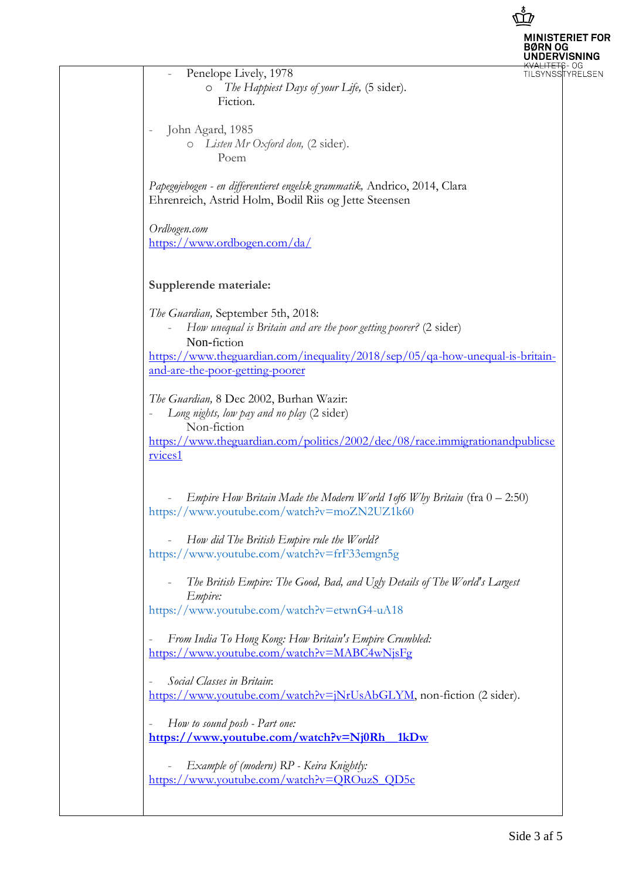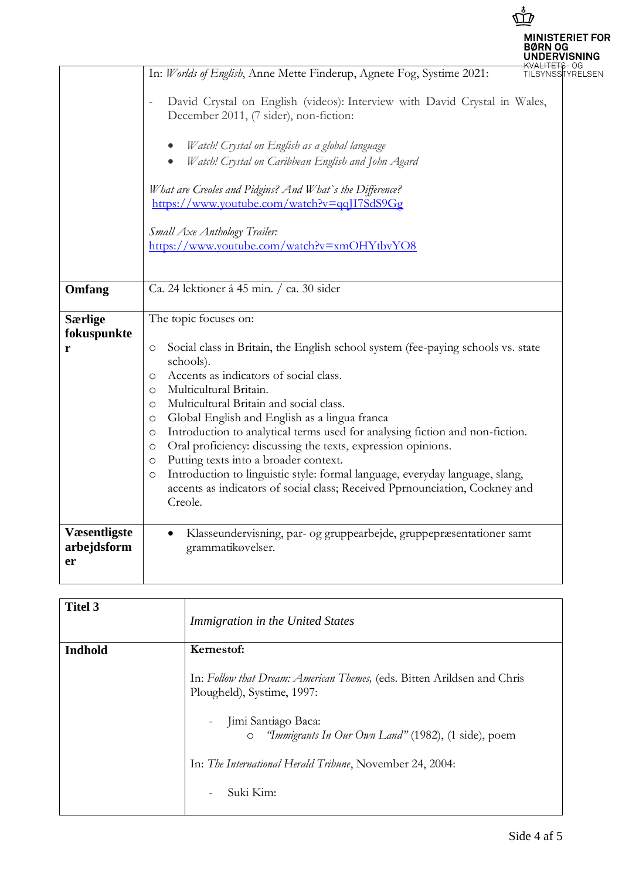|                                          | ጓØRN OG                                                                                                                                                                                                                                                                                                                                                                                                                                                                                                                                                                                                                                                                       | <b>MINISTERIET FOR</b><br><b>IDERVISNING</b> |
|------------------------------------------|-------------------------------------------------------------------------------------------------------------------------------------------------------------------------------------------------------------------------------------------------------------------------------------------------------------------------------------------------------------------------------------------------------------------------------------------------------------------------------------------------------------------------------------------------------------------------------------------------------------------------------------------------------------------------------|----------------------------------------------|
|                                          | In: Worlds of English, Anne Mette Finderup, Agnete Fog, Systime 2021:<br>TILSYNSSTYRELSEN<br>David Crystal on English (videos): Interview with David Crystal in Wales,<br>$\qquad \qquad -$<br>December 2011, (7 sider), non-fiction:<br>Watch! Crystal on English as a global language<br>Watch! Crystal on Caribbean English and John Agard<br>What are Creoles and Pidgins? And What's the Difference?<br>https://www.youtube.com/watch?v=qqJI7SdS9Gg<br>Small Axe Anthology Trailer:<br>https://www.youtube.com/watch?v=xmOHYtbvYO8                                                                                                                                       |                                              |
| Omfang<br><b>Særlige</b>                 | Ca. 24 lektioner á 45 min. / ca. 30 sider<br>The topic focuses on:                                                                                                                                                                                                                                                                                                                                                                                                                                                                                                                                                                                                            |                                              |
| fokuspunkte<br>r                         | Social class in Britain, the English school system (fee-paying schools vs. state<br>O<br>schools).<br>Accents as indicators of social class.<br>O<br>Multicultural Britain.<br>O<br>Multicultural Britain and social class.<br>O<br>Global English and English as a lingua franca<br>O<br>Introduction to analytical terms used for analysing fiction and non-fiction.<br>O<br>Oral proficiency: discussing the texts, expression opinions.<br>O<br>Putting texts into a broader context.<br>O<br>Introduction to linguistic style: formal language, everyday language, slang,<br>O<br>accents as indicators of social class; Received Pprnounciation, Cockney and<br>Creole. |                                              |
| <b>Væsentligste</b><br>arbejdsform<br>er | Klasseundervisning, par- og gruppearbejde, gruppepræsentationer samt<br>grammatikøvelser.                                                                                                                                                                                                                                                                                                                                                                                                                                                                                                                                                                                     |                                              |

| <b>Titel 3</b> | Immigration in the United States                                                                      |
|----------------|-------------------------------------------------------------------------------------------------------|
| <b>Indhold</b> | Kernestof:                                                                                            |
|                | In: Follow that Dream: American Themes, (eds. Bitten Arildsen and Chris<br>Plougheld), Systime, 1997: |
|                | Jimi Santiago Baca:<br><i>"Immigrants In Our Own Land"</i> (1982), (1 side), poem<br>$\circ$          |
|                | In: The International Herald Tribune, November 24, 2004:                                              |
|                | Suki Kim:                                                                                             |

 $\mathring{\tilde{\mathbb{D}}}$